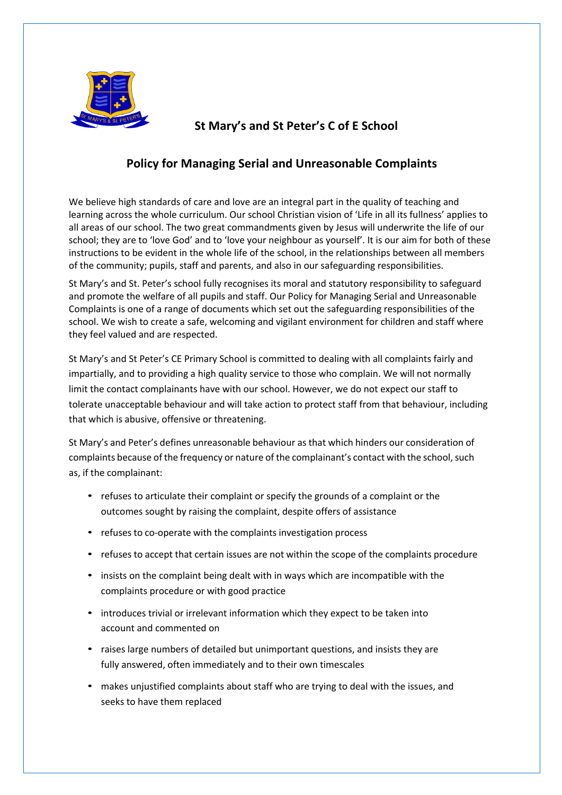

## **St Mary's and St Peter's C of E School**

## **Policy for Managing Serial and Unreasonable Complaints**

We believe high standards of care and love are an integral part in the quality of teaching and learning across the whole curriculum. Our school Christian vision of 'Life in all its fullness' applies to all areas of our school. The two great commandments given by Jesus will underwrite the life of our school; they are to 'love God' and to 'love your neighbour as yourself'. It is our aim for both of these instructions to be evident in the whole life of the school, in the relationships between all members of the community; pupils, staff and parents, and also in our safeguarding responsibilities.

St Mary's and St. Peter's school fully recognises its moral and statutory responsibility to safeguard and promote the welfare of all pupils and staff. Our Policy for Managing Serial and Unreasonable Complaints is one of a range of documents which set out the safeguarding responsibilities of the school. We wish to create a safe, welcoming and vigilant environment for children and staff where they feel valued and are respected.

St Mary's and St Peter's CE Primary School is committed to dealing with all complaints fairly and impartially, and to providing a high quality service to those who complain. We will not normally limit the contact complainants have with our school. However, we do not expect our staff to tolerate unacceptable behaviour and will take action to protect staff from that behaviour, including that which is abusive, offensive or threatening.

St Mary's and Peter's defines unreasonable behaviour as that which hinders our consideration of complaints because of the frequency or nature of the complainant's contact with the school, such as, if the complainant:

- refuses to articulate their complaint or specify the grounds of a complaint or the outcomes sought by raising the complaint, despite offers of assistance
- refuses to co-operate with the complaints investigation process
- refuses to accept that certain issues are not within the scope of the complaints procedure
- insists on the complaint being dealt with in ways which are incompatible with the complaints procedure or with good practice
- introduces trivial or irrelevant information which they expect to be taken into account and commented on
- raises large numbers of detailed but unimportant questions, and insists they are fully answered, often immediately and to their own timescales
- makes unjustified complaints about staff who are trying to deal with the issues, and seeks to have them replaced